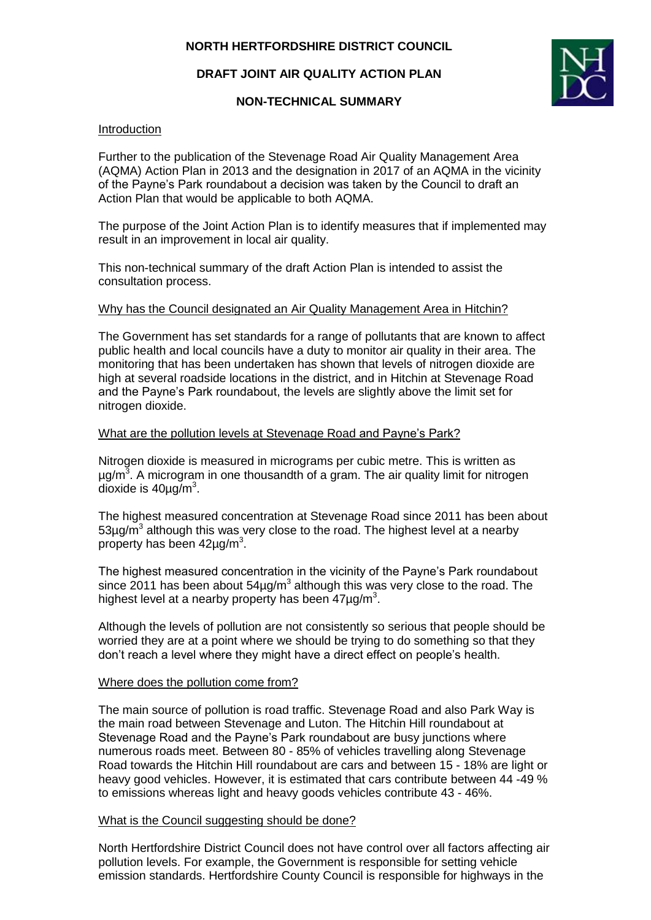## **DRAFT JOINT AIR QUALITY ACTION PLAN**

### **NON-TECHNICAL SUMMARY**



#### **Introduction**

Further to the publication of the Stevenage Road Air Quality Management Area (AQMA) Action Plan in 2013 and the designation in 2017 of an AQMA in the vicinity of the Payne's Park roundabout a decision was taken by the Council to draft an Action Plan that would be applicable to both AQMA.

The purpose of the Joint Action Plan is to identify measures that if implemented may result in an improvement in local air quality.

This non-technical summary of the draft Action Plan is intended to assist the consultation process.

#### Why has the Council designated an Air Quality Management Area in Hitchin?

The Government has set standards for a range of pollutants that are known to affect public health and local councils have a duty to monitor air quality in their area. The monitoring that has been undertaken has shown that levels of nitrogen dioxide are high at several roadside locations in the district, and in Hitchin at Stevenage Road and the Payne's Park roundabout, the levels are slightly above the limit set for nitrogen dioxide.

#### What are the pollution levels at Stevenage Road and Payne's Park?

Nitrogen dioxide is measured in micrograms per cubic metre. This is written as µg/m<sup>3</sup>. A microgram in one thousandth of a gram. The air quality limit for nitrogen dioxide is  $40 \mu g/m^3$ .

The highest measured concentration at Stevenage Road since 2011 has been about  $53\mu$ g/m<sup>3</sup> although this was very close to the road. The highest level at a nearby property has been  $42\mu$ g/m<sup>3</sup>.

The highest measured concentration in the vicinity of the Payne's Park roundabout since 2011 has been about  $54\mu g/m^3$  although this was very close to the road. The highest level at a nearby property has been  $47 \mu g/m^3$ .

Although the levels of pollution are not consistently so serious that people should be worried they are at a point where we should be trying to do something so that they don't reach a level where they might have a direct effect on people's health.

#### Where does the pollution come from?

The main source of pollution is road traffic. Stevenage Road and also Park Way is the main road between Stevenage and Luton. The Hitchin Hill roundabout at Stevenage Road and the Payne's Park roundabout are busy junctions where numerous roads meet. Between 80 - 85% of vehicles travelling along Stevenage Road towards the Hitchin Hill roundabout are cars and between 15 - 18% are light or heavy good vehicles. However, it is estimated that cars contribute between 44 -49 % to emissions whereas light and heavy goods vehicles contribute 43 - 46%.

#### What is the Council suggesting should be done?

North Hertfordshire District Council does not have control over all factors affecting air pollution levels. For example, the Government is responsible for setting vehicle emission standards. Hertfordshire County Council is responsible for highways in the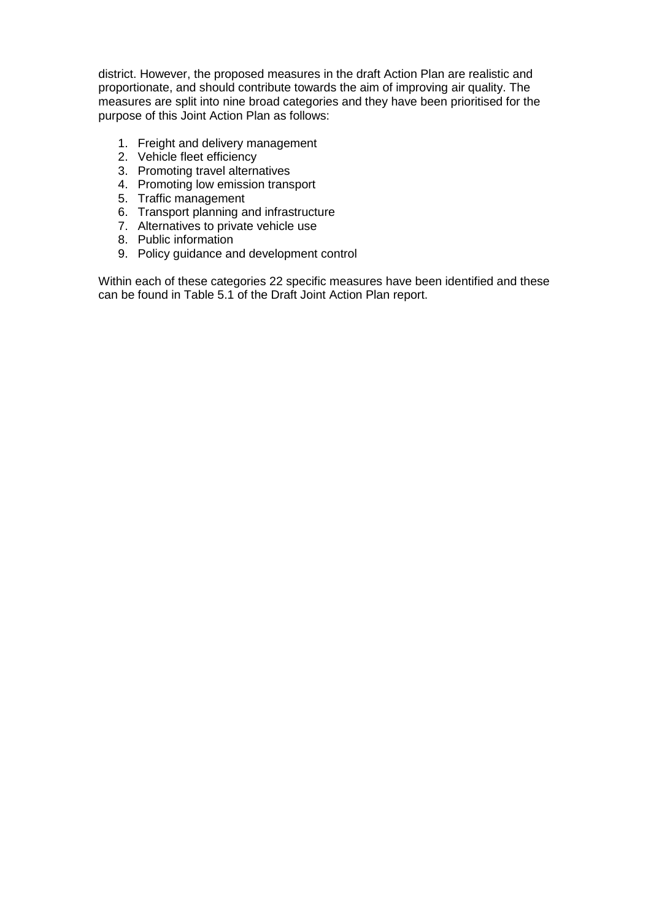district. However, the proposed measures in the draft Action Plan are realistic and proportionate, and should contribute towards the aim of improving air quality. The measures are split into nine broad categories and they have been prioritised for the purpose of this Joint Action Plan as follows:

- 1. Freight and delivery management
- 2. Vehicle fleet efficiency
- 3. Promoting travel alternatives
- 4. Promoting low emission transport
- 5. Traffic management
- 6. Transport planning and infrastructure
- 7. Alternatives to private vehicle use
- 8. Public information
- 9. Policy guidance and development control

Within each of these categories 22 specific measures have been identified and these can be found in Table 5.1 of the Draft Joint Action Plan report.